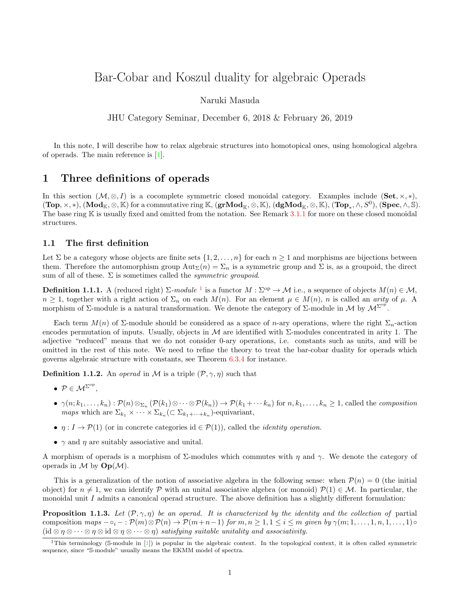# Bar-Cobar and Koszul duality for algebraic Operads

Naruki Masuda

JHU Category Seminar, December 6, 2018 & February 26, 2019

In this note, I will describe how to relax algebraic structures into homotopical ones, using homological algebra of operads. The main reference is [\[1\]](#page-11-0).

# 1 Three definitions of operads

In this section  $(\mathcal{M}, \otimes, I)$  is a cocomplete symmetric closed monoidal category. Examples include (Set,  $\times, \ast$ ),  $(\textbf{Top}, \times, *), (\textbf{Mod}_\mathbb{K}, \otimes, \mathbb{K})$  for a commutative ring  $\mathbb{K}$ ,  $(\textbf{grMod}_\mathbb{K}, \otimes, \mathbb{K})$ ,  $(\textbf{dgMod}_\mathbb{K}, \otimes, \mathbb{K})$ ,  $(\textbf{Top}_*, \wedge, S^0)$ ,  $(\textbf{Spec}, \wedge, \mathbb{S})$ . The base ring  $K$  is usually fixed and omitted from the notation. See Remark  $3.1.1$  for more on these closed monoidal structures.

### 1.1 The first definition

Let  $\Sigma$  be a category whose objects are finite sets  $\{1, 2, \ldots, n\}$  for each  $n \geq 1$  and morphisms are bijections between them. Therefore the automorphism group  $\text{Aut}_{\Sigma}(n) = \Sigma_n$  is a symmetric group and  $\Sigma$  is, as a groupoid, the direct sum of all of these.  $\Sigma$  is sometimes called the *symmetric groupoid*.

**Definition [1](#page-0-0).1.1.** A (reduced right)  $\Sigma$ -module <sup>1</sup> is a functor  $M : \Sigma^{op} \to M$  i.e., a sequence of objects  $M(n) \in \mathcal{M}$ ,  $n \geq 1$ , together with a right action of  $\Sigma_n$  on each  $M(n)$ . For an element  $\mu \in M(n)$ , n is called an arity of  $\mu$ . morphism of  $\Sigma$ -module is a natural transformation. We denote the category of  $\Sigma$ -module in M by  $\mathcal{M}^{\Sigma^{op}}$ .

Each term  $M(n)$  of  $\Sigma$ -module should be considered as a space of n-ary operations, where the right  $\Sigma_n$ -action encodes permutation of inputs. Usually, objects in M are identified with  $\Sigma$ -modules concentrated in arity 1. The adjective "reduced" means that we do not consider 0-ary operations, i.e. constants such as units, and will be omitted in the rest of this note. We need to refine the theory to treat the bar-cobar duality for operads which governs algebraic structure with constants, see Theorem [6.3.4](#page-9-0) for instance.

**Definition 1.1.2.** An *operad* in M is a triple  $(\mathcal{P}, \gamma, \eta)$  such that

- $P \in M^{\Sigma^{op}},$
- $\bullet \ \gamma(n;k_1,\ldots,k_n): \mathcal{P}(n) \otimes_{\Sigma_n} (\mathcal{P}(k_1) \otimes \cdots \otimes \mathcal{P}(k_n)) \to \mathcal{P}(k_1+\cdots k_n)$  for  $n,k_1,\ldots,k_n \geq 1$ , called the *composition maps* which are  $\Sigma_{k_1} \times \cdots \times \Sigma_{k_n} (\subset \Sigma_{k_1 + \cdots + k_n})$ -equivariant,
- $\eta: I \to \mathcal{P}(1)$  (or in concrete categories id  $\in \mathcal{P}(1)$ ), called the *identity operation*.
- $\gamma$  and  $\eta$  are suitably associative and unital.

A morphism of operads is a morphism of  $\Sigma$ -modules which commutes with  $\eta$  and  $\gamma$ . We denote the category of operads in  $\mathcal M$  by  $\mathbf{Op}(\mathcal M)$ .

This is a generalization of the notion of associative algebra in the following sense: when  $\mathcal{P}(n) = 0$  (the initial object) for  $n \neq 1$ , we can identify P with an unital associative algebra (or monoid)  $\mathcal{P}(1) \in \mathcal{M}$ . In particular, the monoidal unit  $I$  admits a canonical operad structure. The above definition has a slightly different formulation:

**Proposition 1.1.3.** Let  $(\mathcal{P}, \gamma, \eta)$  be an operad. It is characterized by the identity and the collection of partial composition maps  $-\circ_i - : \mathcal{P}(m) \otimes \mathcal{P}(n) \to \mathcal{P}(m+n-1)$  for  $m, n \geq 1, 1 \leq i \leq m$  given by  $\gamma(m; 1, \ldots, 1, n, 1, \ldots, 1) \circ$  $(id \otimes \eta \otimes \cdots \otimes \eta \otimes id \otimes \eta \otimes \cdots \otimes \eta)$  satisfying suitable unitality and associativity.

<span id="page-0-0"></span><sup>&</sup>lt;sup>1</sup>This terminology (S-module in [\[1\]](#page-11-0)) is popular in the algebraic context. In the topological context, it is often called symmetric sequence, since "S-module" usually means the EKMM model of spectra.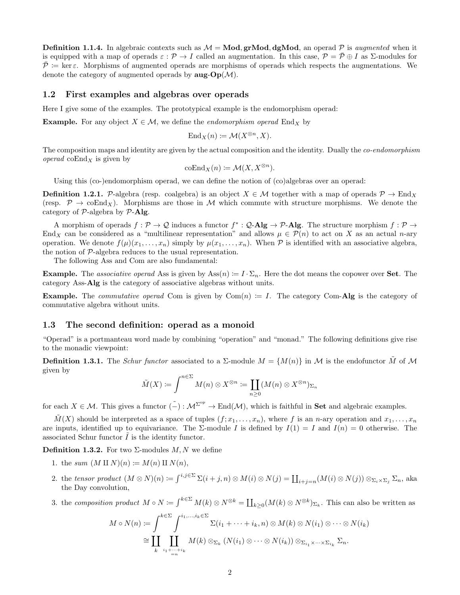**Definition 1.1.4.** In algebraic contexts such as  $M = Mod$ , gr**Mod**, dg**Mod**, an operad P is *augmented* when it is equipped with a map of operads  $\varepsilon$  :  $\mathcal{P} \to I$  called an augmentation. In this case,  $\mathcal{P} = \overline{\mathcal{P}} \oplus I$  as  $\Sigma$ -modules for  $\mathcal{P}$  := ker  $\varepsilon$ . Morphisms of augmented operads are morphisms of operads which respects the augmentations. We denote the category of augmented operads by  $\mathbf{aug\text{-}Op}(\mathcal{M})$ .

### 1.2 First examples and algebras over operads

Here I give some of the examples. The prototypical example is the endomorphism operad:

**Example.** For any object  $X \in \mathcal{M}$ , we define the *endomorphism operad* End<sub>X</sub> by

$$
\mathrm{End}_X(n) \coloneqq \mathcal{M}(X^{\otimes n}, X).
$$

The composition maps and identity are given by the actual composition and the identity. Dually the *co-endomorphism operad* coEnd<sub>X</sub> is given by

$$
\mathrm{coEnd}_X(n) := \mathcal{M}(X, X^{\otimes n}).
$$

Using this (co-)endomorphism operad, we can define the notion of (co)algebras over an operad:

**Definition 1.2.1.** P-algebra (resp. coalgebra) is an object  $X \in \mathcal{M}$  together with a map of operads  $\mathcal{P} \to \text{End}_X$ (resp.  $\mathcal{P} \to \mathrm{coEnd}_X$ ). Morphisms are those in M which commute with structure morphisms. We denote the category of  $P$ -algebra by  $P$ -Alg.

A morphism of operads  $f: \mathcal{P} \to \mathcal{Q}$  induces a functor  $f^*: \mathcal{Q}\text{-}\mathbf{Alg} \to \mathcal{P}\text{-}\mathbf{Alg}$ . The structure morphism  $f: \mathcal{P} \to \mathcal{Q}$ End<sub>X</sub> can be considered as a "multilinear representation" and allows  $\mu \in \mathcal{P}(n)$  to act on X as an actual n-ary operation. We denote  $f(\mu)(x_1, \ldots, x_n)$  simply by  $\mu(x_1, \ldots, x_n)$ . When P is identified with an associative algebra, the notion of  $P$ -algebra reduces to the usual representation.

The following Ass and Com are also fundamental:

**Example.** The associative operad Ass is given by  $\text{Ass}(n) := I \cdot \Sigma_n$ . Here the dot means the copower over **Set**. The category Ass-Alg is the category of associative algebras without units.

**Example.** The *commutative operad* Com is given by  $Com(n) := I$ . The category Com-Alg is the category of commutative algebra without units.

#### <span id="page-1-0"></span>1.3 The second definition: operad as a monoid

"Operad" is a portmanteau word made by combining "operation" and "monad." The following definitions give rise to the monadic viewpoint:

**Definition 1.3.1.** The Schur functor associated to a  $\Sigma$ -module  $M = \{M(n)\}\$ in M is the endofunctor  $\tilde{M}$  of M given by

$$
\tilde{M}(X) \coloneqq \int^{n \in \Sigma} M(n) \otimes X^{\otimes n} \coloneqq \coprod_{n \geq 0} (M(n) \otimes X^{\otimes n})_{\Sigma_n}
$$

for each  $X \in \mathcal{M}$ . This gives a functor  $(\tilde{-}): \mathcal{M}^{\Sigma^{op}} \to \text{End}(\mathcal{M})$ , which is faithful in **Set** and algebraic examples.

 $\tilde{M}(X)$  should be interpreted as a space of tuples  $(f; x_1, \ldots, x_n)$ , where f is an n-ary operation and  $x_1, \ldots, x_n$ are inputs, identified up to equivariance. The  $\Sigma$ -module I is defined by  $I(1) = I$  and  $I(n) = 0$  otherwise. The associated Schur functor  $\tilde{I}$  is the identity functor.

**Definition 1.3.2.** For two  $\Sigma$ -modules  $M, N$  we define

- 1. the sum  $(M \amalg N)(n) \coloneqq M(n) \amalg N(n),$
- 2. the tensor product  $(M \otimes N)(n) := \int^{i,j \in \Sigma} \Sigma(i+j,n) \otimes M(i) \otimes N(j) = \coprod_{i+j=n} (M(i) \otimes N(j)) \otimes_{\Sigma_i \times \Sigma_j} \Sigma_n$ , aka the Day convolution,
- 3. the composition product  $M \circ N := \int^{k \in \Sigma} M(k) \otimes N^{\otimes k} = \coprod_{k \geq 0} (M(k) \otimes N^{\otimes k})_{\Sigma_k}$ . This can also be written as

$$
M \circ N(n) \coloneqq \int_{k}^{k \in \Sigma} \int_{i_1, \dots, i_k \in \Sigma}^{i_1, \dots, i_k \in \Sigma} \Sigma(i_1 + \dots + i_k, n) \otimes M(k) \otimes N(i_1) \otimes \dots \otimes N(i_k)
$$
  
\n
$$
\cong \coprod_{k} \coprod_{i_1 + \dots + i_k} M(k) \otimes_{\Sigma_k} (N(i_1) \otimes \dots \otimes N(i_k)) \otimes_{\Sigma_{i_1} \times \dots \times \Sigma_{i_k}} \Sigma_n.
$$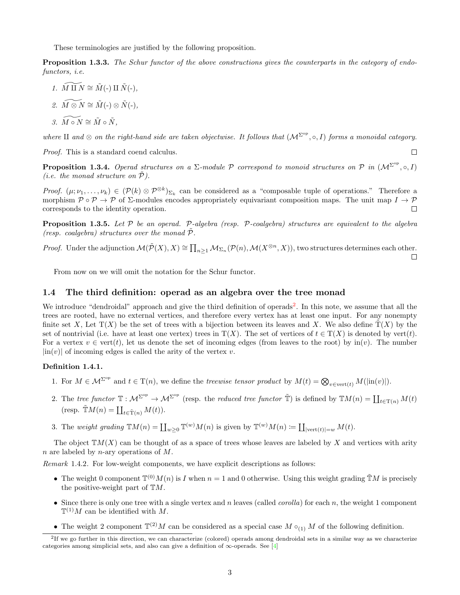These terminologies are justified by the following proposition.

Proposition 1.3.3. The Schur functor of the above constructions gives the counterparts in the category of endofunctors, i.e.

- 1.  $\widetilde{M \amalg N} \cong \widetilde{M}(-) \amalg \widetilde{N}(-)$ .
- 2.  $\widetilde{M \otimes N} \cong \widetilde{M}(-) \otimes \widetilde{N}(-)$

$$
\widetilde{\jmath. \, M \circ N} \cong \tilde{M} \circ \tilde{N},
$$

where II and ⊗ on the right-hand side are taken objectwise. It follows that  $(\mathcal{M}^{\Sigma^{op}}, \circ, I)$  forms a monoidal category.

 $\Box$ 

Proof. This is a standard coend calculus.

**Proposition 1.3.4.** Operad structures on a  $\Sigma$ -module P correspond to monoid structures on P in  $(\mathcal{M}^{\Sigma^{op}}, \circ, I)$ (*i.e.* the monad structure on  $P$ ).

Proof.  $(\mu; \nu_1, \ldots, \nu_k) \in (\mathcal{P}(k) \otimes \mathcal{P}^{\otimes k})_{\Sigma_k}$  can be considered as a "composable tuple of operations." Therefore a morphism  $\mathcal{P} \circ \mathcal{P} \to \mathcal{P}$  of  $\Sigma$ -modules encodes appropriately equivariant composition maps. The unit map  $I \to \mathcal{P}$ corresponds to the identity operation.  $\Box$ 

**Proposition 1.3.5.** Let  $P$  be an operad. P-algebra (resp. P-coalgebra) structures are equivalent to the algebra (resp. coalgebra) structures over the monad  $P$ .

*Proof.* Under the adjunction  $\mathcal{M}(\tilde{\mathcal{P}}(X), X) \cong \prod_{n \geq 1} \mathcal{M}_{\Sigma_n}(\mathcal{P}(n), \mathcal{M}(X^{\otimes n}, X))$ , two structures determines each other.  $\Box$ 

From now on we will omit the notation for the Schur functor.

### 1.4 The third definition: operad as an algebra over the tree monad

We introduce "dendroidal" approach and give the third definition of operads<sup>[2](#page-2-0)</sup>. In this note, we assume that all the trees are rooted, have no external vertices, and therefore every vertex has at least one input. For any nonempty finite set X, Let  $T(X)$  be the set of trees with a bijection between its leaves and X. We also define  $T(X)$  by the set of nontrivial (i.e. have at least one vertex) trees in  $T(X)$ . The set of vertices of  $t \in T(X)$  is denoted by vert(t). For a vertex  $v \in \text{vert}(t)$ , let us denote the set of incoming edges (from leaves to the root) by in(v). The number  $|\text{in}(v)|$  of incoming edges is called the arity of the vertex v.

### Definition 1.4.1.

- 1. For  $M \in \mathcal{M}^{\Sigma^{op}}$  and  $t \in \mathrm{T}(n)$ , we define the treewise tensor product by  $M(t) = \bigotimes_{v \in \mathrm{vert}(t)} M(|\mathrm{in}(v)|)$ .
- 2. The tree functor  $\mathbb{T}: \mathcal{M}^{\Sigma^{op}} \to \mathcal{M}^{\Sigma^{op}}$  (resp. the reduced tree functor  $\mathbb{T})$  is defined by  $\mathbb{T}M(n) = \coprod_{t \in \mathbb{T}(n)} M(t)$ (resp.  $\tilde{\mathbb{T}}M(n) = \coprod_{t \in \tilde{\mathcal{T}}(n)} M(t)$ ).
- 3. The weight grading  $\mathbb{T}M(n) = \coprod_{w\geq 0} \mathbb{T}^{(w)}M(n)$  is given by  $\mathbb{T}^{(w)}M(n) \coloneq \coprod_{|\text{vert}(t)|=w} M(t)$ .

The object  $TM(X)$  can be thought of as a space of trees whose leaves are labeled by X and vertices with arity n are labeled by n-ary operations of  $M$ .

Remark 1.4.2. For low-weight components, we have explicit descriptions as follows:

- The weight 0 component  $\mathbb{T}^{(0)}M(n)$  is I when  $n=1$  and 0 otherwise. Using this weight grading  $\tilde{\mathbb{T}}M$  is precisely the positive-weight part of  $TM$ .
- Since there is only one tree with a single vertex and n leaves (called *corolla*) for each n, the weight 1 component  $\mathbb{T}^{(1)}M$  can be identified with M.
- <span id="page-2-0"></span>• The weight 2 component  $\mathbb{T}^{(2)}M$  can be considered as a special case  $M \circ_{(1)} M$  of the following definition.

<sup>&</sup>lt;sup>2</sup>If we go further in this direction, we can characterize (colored) operads among dendroidal sets in a similar way as we characterize categories among simplicial sets, and also can give a definition of  $\infty$ -operads. See [\[4\]](#page-11-1)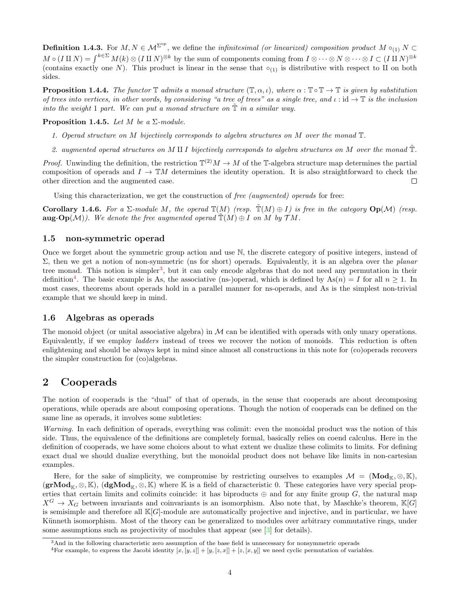**Definition 1.4.3.** For  $M, N \in M^{\Sigma^{op}}$ , we define the *infinitesimal (or linearized) composition product*  $M \circ_{(1)} N \subset$  $M \circ (I \amalg N) = \int^{k \in \Sigma} M(k) \otimes (I \amalg N)^{\otimes k}$  by the sum of components coming from  $I \otimes \cdots \otimes N \otimes \cdots \otimes I \subset (I \amalg N)^{\otimes k}$ (contains exactly one N). This product is linear in the sense that  $\circ_{(1)}$  is distributive with respect to H on both sides.

**Proposition 1.4.4.** The functor  $\mathbb{T}$  admits a monad structure  $(\mathbb{T}, \alpha, \iota)$ , where  $\alpha : \mathbb{T} \circ \mathbb{T} \to \mathbb{T}$  is given by substitution of trees into vertices, in other words, by considering "a tree of trees" as a single tree, and  $\iota : id \to \mathbb{T}$  is the inclusion into the weight 1 part. We can put a monad structure on  $\mathbb T$  in a similar way.

<span id="page-3-2"></span>**Proposition 1.4.5.** Let M be a  $\Sigma$ -module.

- 1. Operad structure on M bijectively corresponds to algebra structures on M over the monad T.
- 2. augmented operad structures on M II I bijectively corresponds to algebra structures on M over the monad  $\tilde{T}$ .

*Proof.* Unwinding the definition, the restriction  $\mathbb{T}^{(2)}M \to M$  of the T-algebra structure map determines the partial composition of operads and  $I \to \mathbb{T}M$  determines the identity operation. It is also straightforward to check the other direction and the augmented case.  $\Box$ 

Using this characterization, we get the construction of free (augmented) operads for free:

Corollary 1.4.6. For a  $\Sigma$ -module M, the operad  $\mathbb{T}(M)$  (resp.  $\mathbb{T}(M) \oplus I$ ) is free in the category  $\text{Op}(\mathcal{M})$  (resp. **aug-Op** $(\mathcal{M})$ ). We denote the free augmented operad  $\mathbb{T}(M) \oplus I$  on M by  $\mathcal{T}M$ .

### 1.5 non-symmetric operad

Once we forget about the symmetric group action and use N, the discrete category of positive integers, instead of Σ, then we get a notion of non-symmetric (ns for short) operads. Equivalently, it is an algebra over the planar tree monad. This notion is simpler<sup>[3](#page-3-0)</sup>, but it can only encode algebras that do not need any permutation in their definition<sup>[4](#page-3-1)</sup>. The basic example is As, the associative (ns-)operad, which is defined by  $As(n) = I$  for all  $n \ge 1$ . In most cases, theorems about operads hold in a parallel manner for ns-operads, and As is the simplest non-trivial example that we should keep in mind.

### 1.6 Algebras as operads

The monoid object (or unital associative algebra) in  $\mathcal M$  can be identified with operads with only unary operations. Equivalently, if we employ ladders instead of trees we recover the notion of monoids. This reduction is often enlightening and should be always kept in mind since almost all constructions in this note for (co)operads recovers the simpler construction for (co)algebras.

## 2 Cooperads

The notion of cooperads is the "dual" of that of operads, in the sense that cooperads are about decomposing operations, while operads are about composing operations. Though the notion of cooperads can be defined on the same line as operads, it involves some subtleties:

Warning. In each definition of operads, everything was colimit: even the monoidal product was the notion of this side. Thus, the equivalence of the definitions are completely formal, basically relies on coend calculus. Here in the definition of cooperads, we have some choices about to what extent we dualize these colimits to limits. For defining exact dual we should dualize everything, but the monoidal product does not behave like limits in non-cartesian examples.

Here, for the sake of simplicity, we compromise by restricting ourselves to examples  $\mathcal{M} = (\text{Mod}_{\mathbb{K}}, \otimes, \mathbb{K}),$  $(\mathbf{grMod}_{\mathbb{K}}, \otimes, \mathbb{K})$ ,  $(\mathbf{dgMod}_{\mathbb{K}}, \otimes, \mathbb{K})$  where K is a field of characteristic 0. These categories have very special properties that certain limits and colimits coincide: it has biproducts  $oplus$  and for any finite group G, the natural map  $X^G \to X_G$  between invariants and coinvariants is an isomorphism. Also note that, by Maschke's theorem,  $\mathbb{K}[G]$ is semisimple and therefore all  $\mathbb{K}[G]$ -module are automatically projective and injective, and in particular, we have Künneth isomorphism. Most of the theory can be generalized to modules over arbitrary commutative rings, under some assumptions such as projectivity of modules that appear (see [\[3\]](#page-11-2) for details).

<span id="page-3-0"></span><sup>3</sup>And in the following characteristic zero assumption of the base field is unnecessary for nonsymmetric operads

<span id="page-3-1"></span><sup>&</sup>lt;sup>4</sup>For example, to express the Jacobi identity  $[x, [y, z]] + [y, [z, x]] + [z, [x, y]]$  we need cyclic permutation of variables.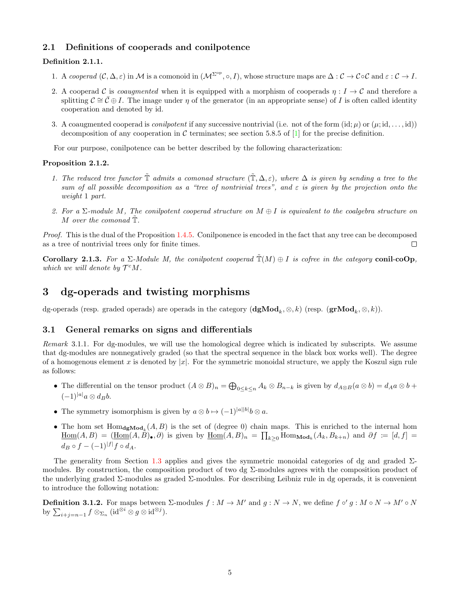### 2.1 Definitions of cooperads and conilpotence

#### Definition 2.1.1.

- 1. A cooperad  $(C, \Delta, \varepsilon)$  in M is a comonoid in  $(\mathcal{M}^{\Sigma^{op}}, \circ, I)$ , whose structure maps are  $\Delta : C \to C \circ C$  and  $\varepsilon : C \to I$ .
- 2. A cooperad C is coaugmented when it is equipped with a morphism of cooperads  $\eta : I \to C$  and therefore a splitting  $\mathcal{C} \cong \overline{\mathcal{C}} \oplus I$ . The image under  $\eta$  of the generator (in an appropriate sense) of I is often called identity cooperation and denoted by id.
- 3. A coaugmented cooperad is *conilpotent* if any successive nontrivial (i.e. not of the form (id;  $\mu$ ) or  $(\mu$ ; id, ..., id)) decomposition of any cooperation in C terminates; see section 5.8.5 of [\[1\]](#page-11-0) for the precise definition.

For our purpose, conilpotence can be better described by the following characterization:

### Proposition 2.1.2.

- 1. The reduced tree functor  $\tilde{\mathbb{T}}$  admits a comonad structure  $(\tilde{\mathbb{T}}, \Delta, \varepsilon)$ , where  $\Delta$  is given by sending a tree to the sum of all possible decomposition as a "tree of nontrivial trees", and  $\varepsilon$  is given by the projection onto the weight 1 part.
- 2. For a  $\Sigma$ -module M, The conilpotent cooperad structure on  $M \oplus I$  is equivalent to the coalgebra structure on M over the comonad  $\mathbb{T}$ .

Proof. This is the dual of the Proposition [1.4.5.](#page-3-2) Conilponence is encoded in the fact that any tree can be decomposed as a tree of nontrivial trees only for finite times.  $\Box$ 

Corollary 2.1.3. For a  $\Sigma$ -Module M, the conilpotent cooperad  $\mathbb{T}(M) \oplus I$  is cofree in the category conil-coOp, which we will denote by  $\mathcal{T}^cM$ .

## 3 dg-operads and twisting morphisms

dg-operads (resp. graded operads) are operads in the category  $(\mathbf{dgMod}_k, \otimes, k)$  (resp.  $(\mathbf{grMod}_k, \otimes, k)$ ).

### 3.1 General remarks on signs and differentials

<span id="page-4-0"></span>Remark 3.1.1. For dg-modules, we will use the homological degree which is indicated by subscripts. We assume that dg-modules are nonnegatively graded (so that the spectral sequence in the black box works well). The degree of a homogenous element x is denoted by  $|x|$ . For the symmetric monoidal structure, we apply the Koszul sign rule as follows:

- The differential on the tensor product  $(A \otimes B)_n = \bigoplus_{0 \leq k \leq n} A_k \otimes B_{n-k}$  is given by  $d_{A \otimes B}(a \otimes b) = d_A a \otimes b +$  $(-1)^{|a|}a \otimes d_Bb.$
- The symmetry isomorphism is given by  $a \otimes b \mapsto (-1)^{|a||b|} b \otimes a$ .
- The hom set  $\text{Hom}_{\text{dgMod}_k}(A, B)$  is the set of (degree 0) chain maps. This is enriched to the internal hom  $\underline{\text{Hom}}(A, B) = (\underline{\text{Hom}}(A, B)_{\bullet}, \partial)$  is given by  $\underline{\text{Hom}}(A, B)_n = \prod_{k \geq 0} \text{Hom}_{\text{Mod}_k}(A_k, B_{k+n})$  and  $\partial f := [d, f] =$  $d_B \circ f - (-1)^{|f|} f \circ d_A.$

The generality from Section [1.3](#page-1-0) applies and gives the symmetric monoidal categories of dg and graded  $\Sigma$ modules. By construction, the composition product of two dg  $\Sigma$ -modules agrees with the composition product of the underlying graded Σ-modules as graded Σ-modules. For describing Leibniz rule in dg operads, it is convenient to introduce the following notation:

**Definition 3.1.2.** For maps between  $\Sigma$ -modules  $f : M \to M'$  and  $g : N \to N$ , we define  $f \circ' g : M \circ N \to M' \circ N$ by  $\sum_{i+j=n-1} f \otimes_{\Sigma_n} (id^{\otimes i} \otimes g \otimes id^{\otimes j}).$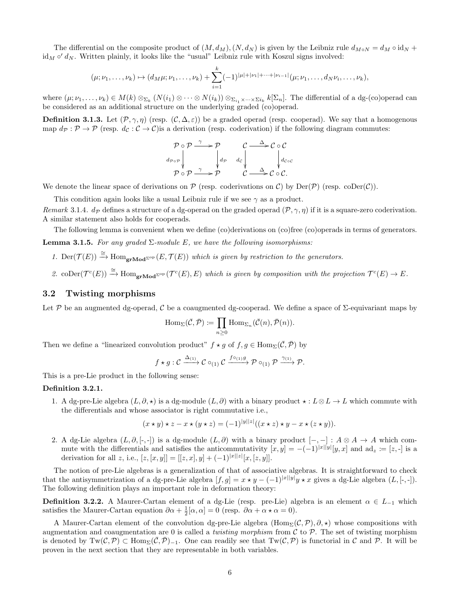The differential on the composite product of  $(M, d<sub>M</sub>), (N, d<sub>N</sub>)$  is given by the Leibniz rule  $d<sub>M</sub> \circ N = d<sub>M</sub> \circ i d<sub>N</sub>$  +  $\mathrm{id}_M \circ' d_N$ . Written plainly, it looks like the "usual" Leibniz rule with Koszul signs involved:

$$
(\mu; \nu_1, \ldots, \nu_k) \mapsto (d_M \mu; \nu_1, \ldots, \nu_k) + \sum_{i=1}^k (-1)^{|\mu|+|\nu_1|+\cdots+|\nu_{i-1}|} (\mu; \nu_1, \ldots, d_N \nu_i, \ldots, \nu_k),
$$

where  $(\mu; \nu_1, \ldots, \nu_k) \in M(k) \otimes_{\Sigma_k} (N(i_1) \otimes \cdots \otimes N(i_k)) \otimes_{\Sigma_{i_1} \times \cdots \times \Sigma_{i_k}} k[\Sigma_n]$ . The differential of a dg-(co)operad can be considered as an additional structure on the underlying graded (co)operad.

**Definition 3.1.3.** Let  $(\mathcal{P}, \gamma, \eta)$  (resp.  $(\mathcal{C}, \Delta, \varepsilon)$ ) be a graded operad (resp. cooperad). We say that a homogenous map  $d_{\mathcal{P}} : \mathcal{P} \to \mathcal{P}$  (resp.  $d_{\mathcal{C}} : \mathcal{C} \to \mathcal{C}$ ) is a derivation (resp. coderivation) if the following diagram commutes:

$$
\mathcal{P} \circ \mathcal{P} \xrightarrow{\gamma} \mathcal{P} \qquad \mathcal{C} \xrightarrow{\Delta} \mathcal{C} \circ \mathcal{C}
$$
\n
$$
\downarrow d_{\mathcal{P}} \qquad \downarrow d_{\mathcal{P}} \qquad d_{\mathcal{C}} \qquad \downarrow d_{\mathcal{C} \circ \mathcal{C}} \qquad \downarrow d_{\mathcal{C} \circ \mathcal{C}}
$$
\n
$$
\mathcal{P} \circ \mathcal{P} \xrightarrow{\gamma} \mathcal{P} \qquad \mathcal{C} \xrightarrow{\Delta} \mathcal{C} \circ \mathcal{C}.
$$

We denote the linear space of derivations on  $P$  (resp. coderivations on  $C$ ) by Der( $P$ ) (resp. coDer( $C$ )).

This condition again looks like a usual Leibniz rule if we see  $\gamma$  as a product.

Remark 3.1.4.  $d_p$  defines a structure of a dg-operad on the graded operad  $(\mathcal{P}, \gamma, \eta)$  if it is a square-zero coderivation. A similar statement also holds for cooperads.

<span id="page-5-0"></span>The following lemma is convenient when we define (co)derivations on (co)free (co)operads in terms of generators. **Lemma 3.1.5.** For any graded  $\Sigma$ -module E, we have the following isomorphisms:

- 1. Der( $\mathcal{T}(E)$ )  $\stackrel{\cong}{\to}$  Hom<sub>gr</sub>Mod<sup>2op</sup>  $(E, \mathcal{T}(E))$  which is given by restriction to the generators.
- 2. coDer $(\mathcal{T}^c(E)) \stackrel{\cong}{\to} \text{Hom}_{\textbf{grMod}^{\Sigma^{op}}}(\mathcal{T}^c(E), E)$  which is given by composition with the projection  $\mathcal{T}^c(E) \to E$ .

### 3.2 Twisting morphisms

Let P be an augmented dg-operad, C be a coaugmented dg-cooperad. We define a space of  $\Sigma$ -equivariant maps by

$$
\mathrm{Hom}_{\Sigma}(\overline{\mathcal{C}}, \overline{\mathcal{P}}) \coloneqq \prod_{n \geq 0} \mathrm{Hom}_{\Sigma_n}(\overline{\mathcal{C}}(n), \overline{\mathcal{P}}(n)).
$$

Then we define a "linearized convolution product"  $f \star g$  of  $f, g \in \text{Hom}_{\Sigma}(\overline{\mathcal{C}}, \overline{\mathcal{P}})$  by

$$
f \star g : C \xrightarrow{\Delta_{(1)}} C \circ_{(1)} C \xrightarrow{f \circ_{(1)} g} \mathcal{P} \circ_{(1)} \mathcal{P} \xrightarrow{\gamma_{(1)}} \mathcal{P}.
$$

This is a pre-Lie product in the following sense:

### Definition 3.2.1.

1. A dg-pre-Lie algebra  $(L, \partial, \star)$  is a dg-module  $(L, \partial)$  with a binary product  $\star : L \otimes L \to L$  which commute with the differentials and whose associator is right commutative i.e.,

$$
(x \star y) \star z - x \star (y \star z) = (-1)^{|y||z|} ((x \star z) \star y - x \star (z \star y)).
$$

2. A dg-Lie algebra  $(L, \partial, [-,-])$  is a dg-module  $(L, \partial)$  with a binary product  $[-,-] : A \otimes A \rightarrow A$  which commute with the differentials and satisfies the anticommutativity  $[x, y] = -(-1)^{|x||y|} [y, x]$  and  $ad_z := [z, -]$  is a derivation for all z, i.e.,  $[z, [x, y]] = [[z, x], y] + (-1)^{|x||z|}[x, [z, y]].$ 

The notion of pre-Lie algebras is a generalization of that of associative algebras. It is straightforward to check that the antisymmetrization of a dg-pre-Lie algebra  $[f, g] = x \star y - (-1)^{|x||y|}y \star x$  gives a dg-Lie algebra  $(L, [-, -])$ . The following definition plays an important role in deformation theory:

**Definition 3.2.2.** A Maurer-Cartan element of a dg-Lie (resp. pre-Lie) algebra is an element  $\alpha \in L_{-1}$  which satisfies the Maurer-Cartan equation  $\partial \alpha + \frac{1}{2}[\alpha, \alpha] = 0$  (resp.  $\partial \alpha + \alpha \star \alpha = 0$ ).

A Maurer-Cartan element of the convolution dg-pre-Lie algebra  $(\text{Hom}_{\Sigma}(\mathcal{C}, \mathcal{P}), \partial, \star)$  whose compositions with augmentation and coaugmentation are 0 is called a *twisting morphism* from  $\mathcal C$  to  $\mathcal P$ . The set of twisting morphism is denoted by  $Tw(\mathcal{C}, \mathcal{P}) \subset Hom_{\Sigma}(\overline{\mathcal{C}}, \overline{\mathcal{P}})_{-1}$ . One can readily see that  $Tw(\mathcal{C}, \mathcal{P})$  is functorial in  $\mathcal{C}$  and  $\mathcal{P}$ . It will be proven in the next section that they are representable in both variables.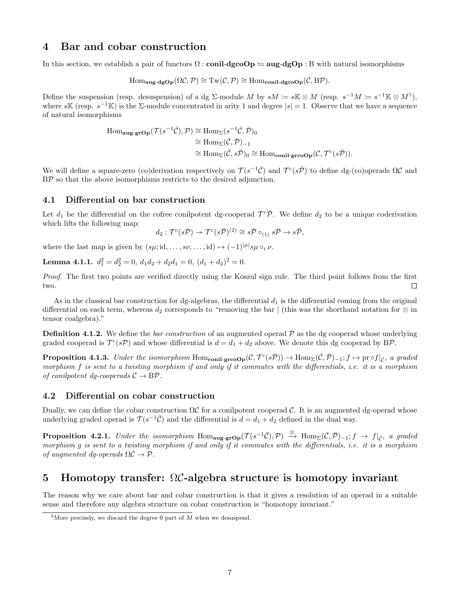# 4 Bar and cobar construction

In this section, we establish a pair of functors  $\Omega$ : conil-dgcoOp  $\leftrightharpoons$  aug-dgOp : B with natural isomorphisms

$$
\mathrm{Hom}_{\mathbf{aug-dgOp}}(\Omega \mathcal{C}, \mathcal{P}) \cong \mathrm{Tw}(\mathcal{C}, \mathcal{P}) \cong \mathrm{Hom}_{\mathbf{conil-dgcoOp}}(\mathcal{C}, \mathrm{B}\mathcal{P}).
$$

Define the suspension (resp. desuspension) of a dg  $\Sigma$ -module M by  $sM \coloneqq s\mathbb{K} \otimes M$  (resp.  $s^{-1}M \coloneqq s^{-1}\mathbb{K} \otimes M^5$  $s^{-1}M \coloneqq s^{-1}\mathbb{K} \otimes M^5$ ), where s<sup>K</sup> (resp.  $s^{-1}$ K) is the  $\Sigma$ -module concentrated in arity 1 and degree  $|s|=1$ . Observe that we have a sequence of natural isomorphisms

Hom<sub>aug-grop</sub>
$$
(\mathcal{T}(s^{-1}\overline{C}), \mathcal{P}) \cong \text{Hom}_{\Sigma}(s^{-1}\overline{C}, \overline{\mathcal{P}})_0
$$
  
\n $\cong \text{Hom}_{\Sigma}(\overline{C}, \overline{\mathcal{P}})_{-1}$   
\n $\cong \text{Hom}_{\Sigma}(\overline{C}, s\overline{\mathcal{P}})_0 \cong \text{Hom}_{\text{conil-greop}}(\mathcal{C}, \mathcal{T}^c(s\overline{\mathcal{P}})).$ 

We will define a square-zero (co)derivation respectively on  $\mathcal{T}(s^{-1}\bar{\mathcal{C}})$  and  $\mathcal{T}^c(s\bar{\mathcal{P}})$  to define dg-(co)operads  $\Omega\mathcal{C}$  and BP so that the above isomorphisms restricts to the desired adjunction.

### 4.1 Differential on bar construction

Let  $d_1$  be the differential on the cofree conilpotent dg-cooperad  $\mathcal{T}^c\bar{\mathcal{P}}$ . We define  $d_2$  to be a unique coderivation which lifts the following map:

$$
d_2: \mathcal{T}^c(s\bar{\mathcal{P}}) \to \mathcal{T}^c(s\bar{\mathcal{P}})^{(2)} \cong s\bar{\mathcal{P}} \circ_{(1)} s\bar{\mathcal{P}} \to s\bar{\mathcal{P}},
$$

where the last map is given by  $(s\mu; id, \ldots, s\nu, \ldots, id) \mapsto (-1)^{|\mu|} s\mu \circ_i \nu$ .

**Lemma 4.1.1.**  $d_1^2 = d_2^2 = 0$ ,  $d_1 d_2 + d_2 d_1 = 0$ ,  $(d_1 + d_2)^2 = 0$ .

Proof. The first two points are verified directly using the Koszul sign rule. The third point follows from the first two.  $\Box$ 

As in the classical bar construction for dg-algebras, the differential  $d_1$  is the differential coming from the original differential on each term, whereas  $d_2$  corresponds to "removing the bar | (this was the shorthand notation for  $\otimes$  in tensor coalgebra)."

**Definition 4.1.2.** We define the *bar construction* of an augmented operad  $\mathcal{P}$  as the dg cooperad whose underlying graded cooperad is  $\mathcal{T}^c(s\mathcal{P})$  and whose differential is  $d = d_1 + d_2$  above. We denote this dg cooperad by BP.

**Proposition 4.1.3.** Under the isomorphism  $Hom_{\text{conil-gre}}({\cal C}, {\cal T}^c(s\bar{\cal P})) \to Hom_{\Sigma}(\bar{\cal C}, \bar{\cal P})_{-1}; f \mapsto \text{pr} \circ f|_{\bar{\cal C}}$ , a graded morphism f is sent to a twisting morphism if and only if it commutes with the differentials, i.e. it is a morphism of conilpotent dg-cooperads  $C \rightarrow B\mathcal{P}$ .

### 4.2 Differential on cobar construction

Dually, we can define the cobar construction  $\Omega C$  for a conilpotent cooperad C. It is an augmented dg-operad whose underlying graded operad is  $\mathcal{T}(s^{-1}\overline{\mathcal{C}})$  and the differential is  $d = d_1 + d_2$  defined in the dual way.

**Proposition 4.2.1.** Under the isomorphism Hom<sub>aug-gr</sub>op( $\mathcal{T}(s^{-1}\overline{C}), \mathcal{P}) \stackrel{\cong}{\rightarrow} \text{Hom}_{\Sigma}(\overline{C}, \overline{\mathcal{P}})_{-1}; f \rightarrow f|_{\overline{C}},$  a graded morphism g is sent to a twisting morphism if and only if it commutes with the differentials, i.e. it is a morphism of augmented dq-operads  $\Omega \mathcal{C} \to \mathcal{P}$ .

# 5 Homotopy transfer: ΩC-algebra structure is homotopy invariant

The reason why we care about bar and cobar construction is that it gives a resolution of an operad in a suitable sense and therefore any algebra structure on cobar construction is "homotopy invariant."

<span id="page-6-0"></span><sup>&</sup>lt;sup>5</sup>More precisely, we discard the degree 0 part of  $M$  when we desuspend.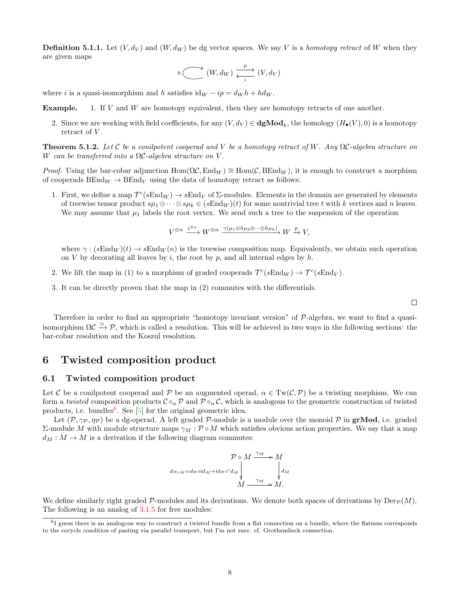**Definition 5.1.1.** Let  $(V, d_V)$  and  $(W, d_W)$  be dg vector spaces. We say V is a homotopy retract of W when they are given maps

$$
h \xrightarrow{\longrightarrow} (W, d_W) \xrightarrow{\frac{p}{i}} (V, d_V)
$$

where i is a quasi-isomorphism and h satisfies  $\mathrm{id}_W - ip = d_W h + h d_W$ .

Example. 1. If V and W are homotopy equivalent, then they are homotopy retracts of one another.

2. Since we are working with field coefficients, for any  $(V, d_V) \in \text{dgMod}_k$ , the homology  $(H_\bullet(V), 0)$  is a homotopy retract of  $V$ .

**Theorem 5.1.2.** Let C be a conilpotent cooperad and V be a homotopy retract of W. Any  $\Omega$ C-algebra structure on W can be transferred into a  $\Omega \mathcal{C}$ -algebra structure on V.

*Proof.* Using the bar-cobar adjunction Hom( $\Omega \mathcal{C}$ , End<sub>W</sub>) ≅ Hom( $\mathcal{C}$ , BEnd<sub>W</sub>), it is enough to construct a morphism of cooperads  $BEnd_W \to BEnd_V$  using the data of homotopy retract as follows:

1. First, we define a map  $\mathcal{T}^c(sEnd_W) \to sEnd_V$  of  $\Sigma$ -modules. Elements in the domain are generated by elements of treewise tensor product  $s\mu_1\otimes\cdots\otimes s\mu_k\in (sEnd_W)(t)$  for some nontrivial tree t with k vertices and n leaves. We may assume that  $\mu_1$  labels the root vertex. We send such a tree to the suspension of the operation

 $V^{\otimes n} \xrightarrow{i^{\otimes n}} W^{\otimes n} \xrightarrow{\gamma(\mu_1 \otimes h\mu_2 \otimes \cdots \otimes h\mu_k)} W \xrightarrow{p} V,$ 

where  $\gamma$ :  $(sEnd_W)(t) \to sEnd_W(n)$  is the treewise composition map. Equivalently, we obtain such operation on V by decorating all leaves by i, the root by p, and all internal edges by  $h$ .

- 2. We lift the map in (1) to a morphism of graded cooperads  $\mathcal{T}^c(sEnd_W) \to \mathcal{T}^c(sEnd_V)$ .
- 3. It can be directly proven that the map in (2) commutes with the differentials.

 $\Box$ 

Therefore in order to find an appropriate "homotopy invariant version" of P-algebra, we want to find a quasiisomorphism  $\Omega \mathcal{C} \xrightarrow{\simeq} \mathcal{P}$ , which is called a resolution. This will be achieved in two ways in the following sections: the bar-cobar resolution and the Koszul resolution.

## 6 Twisted composition product

#### 6.1 Twisted composition product

Let C be a conilpotent cooperad and P be an augmented operad,  $\alpha \in Tw(\mathcal{C}, \mathcal{P})$  be a twisting morphism. We can form a twisted composition products  $\mathcal{C} \circ_{\alpha} \mathcal{P}$  and  $\mathcal{P} \circ_{\alpha} \mathcal{C}$ , which is analogous to the geometric construction of twisted products, i.e. bundles<sup>[6](#page-7-0)</sup>. See  $[5]$  for the original geometric idea.

Let  $(\mathcal{P}, \gamma_{\mathcal{P}}, \eta_{\mathcal{P}})$  be a dg-operad. A left graded  $\mathcal{P}$ -module is a module over the monoid  $\mathcal{P}$  in grMod, i.e. graded Σ-module M with module structure maps  $γ_M$ : P ∘ M which satisfies obvious action properties. We say that a map  $d_M : M \to M$  is a derivation if the following diagram commutes:

$$
\mathcal{P} \circ M \xrightarrow{\gamma_M} M
$$
  
\n
$$
d_{\mathcal{P} \circ M} = d_{\mathcal{P}} \circ d_M + id_{\mathcal{P}} \circ' d_M \downarrow \qquad \downarrow d_M
$$
  
\n
$$
M \xrightarrow{\gamma_M} M.
$$

We define similarly right graded P-modules and its derivations. We denote both spaces of derivations by  $\text{Der}_{\mathcal{P}}(M)$ . The following is an analog of  $3.1.5$  for free modules:

<span id="page-7-0"></span><sup>&</sup>lt;sup>6</sup>I guess there is an analogous way to construct a twisted bundle from a flat connection on a bundle, where the flatness corresponds to the cocycle condition of pasting via parallel transport, but I'm not sure. cf. Grothendieck connection.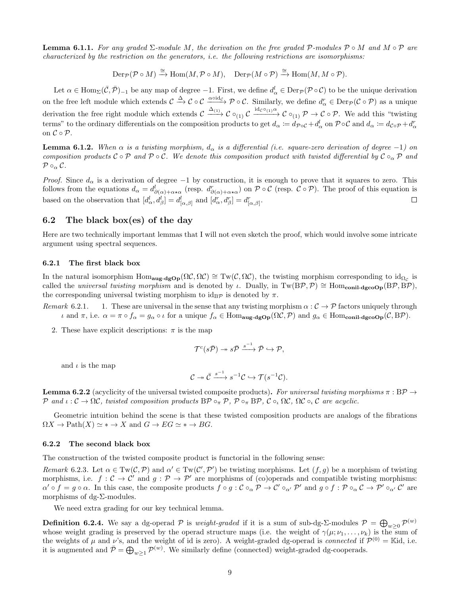**Lemma 6.1.1.** For any graded  $\Sigma$ -module M, the derivation on the free graded P-modules  $\mathcal{P} \circ M$  and  $M \circ \mathcal{P}$  are characterized by the restriction on the generators, i.e. the following restrictions are isomorphisms:

 $\mathrm{Der}_{\mathcal{P}}(\mathcal{P}\circ M)\xrightarrow{\cong}\mathrm{Hom}(M,\mathcal{P}\circ M),\quad \mathrm{Der}_{\mathcal{P}}(M\circ\mathcal{P})\xrightarrow{\cong}\mathrm{Hom}(M,M\circ\mathcal{P}).$ 

Let  $\alpha \in \text{Hom}_{\Sigma}(\overline{\mathcal{C}}, \overline{\mathcal{P}})_{-1}$  be any map of degree  $-1$ . First, we define  $d_{\alpha}^l \in \text{Der}_{\mathcal{P}}(\mathcal{P} \circ \mathcal{C})$  to be the unique derivation on the free left module which extends  $\mathcal{C} \xrightarrow{\Delta} \mathcal{C} \circ \mathcal{C} \xrightarrow{\alpha \circ id_{\mathcal{C}}} \mathcal{P} \circ \mathcal{C}$ . Similarly, we define  $d_{\alpha}^r \in \text{Der}_{\mathcal{P}}(\mathcal{C} \circ \mathcal{P})$  as a unique derivation the free right module which extends  $\mathcal{C} \xrightarrow{\Delta_{(1)}} \mathcal{C} \circ_{(1)} \mathcal{C} \xrightarrow{\text{id}_{\mathcal{C}} \circ_{(1)}} \mathcal{C} \circ_{(1)} \mathcal{P} \rightarrow \mathcal{C} \circ \mathcal{P}$ . We add this "twisting terms" to the ordinary differentials on the composition products to get  $d_{\alpha} := d_{\mathcal{P} \circ \mathcal{C}} + d_{\alpha}^{l}$  on  $\mathcal{P} \circ \mathcal{C}$  and  $d_{\alpha} := d_{\mathcal{C} \circ \mathcal{P}} + d_{\alpha}^{r}$ on  $C \circ \mathcal{P}$ .

**Lemma 6.1.2.** When  $\alpha$  is a twisting morphism,  $d_{\alpha}$  is a differential (i.e. square-zero derivation of degree -1) on composition products  $C \circ P$  and  $P \circ C$ . We denote this composition product with twisted differential by  $C \circ_{\alpha} P$  and  $\mathcal{P} \circ_{\alpha} \mathcal{C}.$ 

*Proof.* Since  $d_{\alpha}$  is a derivation of degree -1 by construction, it is enough to prove that it squares to zero. This follows from the equations  $d_{\alpha} = d^l_{\partial(\alpha)+\alpha \star \alpha}$  (resp.  $d^r_{\partial(\alpha)+\alpha \star \alpha}$ ) on  $\mathcal{P} \circ \mathcal{C}$  (resp.  $\mathcal{C} \circ \mathcal{P}$ ). The proof of this equation is based on the observation that  $[d_{\alpha}^l, d_{\beta}^l] = d_{[\alpha,\beta]}^l$  and  $[d_{\alpha}^r, d_{\beta}^r] = d_{[\alpha,\beta]}^r$ .  $\Box$ 

### 6.2 The black box(es) of the day

Here are two technically important lemmas that I will not even sketch the proof, which would involve some intricate argument using spectral sequences.

#### 6.2.1 The first black box

In the natural isomorphism Hom<sub>aug-dg</sub>Op $(\Omega \mathcal{C}, \Omega \mathcal{C}) \cong Tw(\mathcal{C}, \Omega \mathcal{C})$ , the twisting morphism corresponding to  $id_{\Omega_{\mathcal{C}}}$  is called the *universal twisting morphism* and is denoted by *ι*. Dually, in Tw(BP,P) ≅ Hom<sub>conil-dgcoOp</sub>(BP,BP), the corresponding universal twisting morphism to  $id_{\text{B}\mathcal{P}}$  is denoted by  $\pi$ .

- <span id="page-8-0"></span>Remark 6.2.1. 1. These are universal in the sense that any twisting morphism  $\alpha : C \to \mathcal{P}$  factors uniquely through *ι* and π, i.e.  $\alpha = \pi \circ f_\alpha = g_\alpha \circ \iota$  for a unique  $f_\alpha$  ∈ Hom<sub>aug-dgOp</sub>(ΩC, P) and  $g_\alpha$  ∈ Hom<sub>conil-dgcoOp</sub>(C, BP).
	- 2. These have explicit descriptions:  $\pi$  is the map

$$
\mathcal{T}^c(s\bar{\mathcal{P}}) \twoheadrightarrow s\bar{\mathcal{P}} \xrightarrow{s^{-1}} \bar{\mathcal{P}} \hookrightarrow \mathcal{P},
$$

and  $\iota$  is the map

$$
\mathcal{C} \twoheadrightarrow \bar{\mathcal{C}} \xrightarrow{s^{-1}} s^{-1} \mathcal{C} \hookrightarrow \mathcal{T}(s^{-1} \mathcal{C}).
$$

<span id="page-8-1"></span>**Lemma 6.2.2** (acyclicity of the universal twisted composite products). For universal twisting morphisms  $\pi : BP \rightarrow$ P and  $\iota: \mathcal{C} \to \Omega \mathcal{C}$ , twisted composition products  $\text{BP} \circ_{\pi} \mathcal{P}$ ,  $\mathcal{P} \circ_{\pi} \text{BP}$ ,  $\mathcal{C} \circ_{\iota} \Omega \mathcal{C}$ ,  $\Omega \mathcal{C} \circ_{\iota} \mathcal{C}$  are acyclic.

Geometric intuition behind the scene is that these twisted composition products are analogs of the fibrations  $\Omega X \to \mathrm{Path}(X) \simeq * \to X$  and  $G \to EG \simeq * \to BG$ .

#### 6.2.2 The second black box

The construction of the twisted composite product is functorial in the following sense:

Remark 6.2.3. Let  $\alpha \in \text{Tw}(\mathcal{C}, \mathcal{P})$  and  $\alpha' \in \text{Tw}(\mathcal{C}', \mathcal{P}')$  be twisting morphisms. Let  $(f, g)$  be a morphism of twisting morphisms, i.e.  $f: \mathcal{C} \to \mathcal{C}'$  and  $g: \mathcal{P} \to \mathcal{P}'$  are morphisms of (co)operads and compatible twisting morphisms:  $\alpha' \circ f = g \circ \alpha$ . In this case, the composite products  $f \circ g : C \circ_\alpha \mathcal{P} \to C' \circ_{\alpha'} \mathcal{P}'$  and  $g \circ f : \mathcal{P} \circ_\alpha \mathcal{C} \to \mathcal{P}' \circ_{\alpha'} \mathcal{C}'$  are morphisms of dg-Σ-modules.

We need extra grading for our key technical lemma.

**Definition 6.2.4.** We say a dg-operad  $P$  is *weight-graded* if it is a sum of sub-dg-Σ-modules  $P = \bigoplus_{w\geq 0} P^{(w)}$ whose weight grading is preserved by the operad structure maps (i.e. the weight of  $\gamma(\mu;\nu_1,\ldots,\nu_k)$ ) is the sum of the weights of  $\mu$  and  $\nu$ 's, and the weight of id is zero). A weight-graded dg-operad is *connected* if  $\mathcal{P}^{(0)} =$  Kid, i.e. it is augmented and  $\bar{\mathcal{P}} = \bigoplus_{w \geq 1} \mathcal{P}^{(w)}$ . We similarly define (connected) weight-graded dg-cooperads.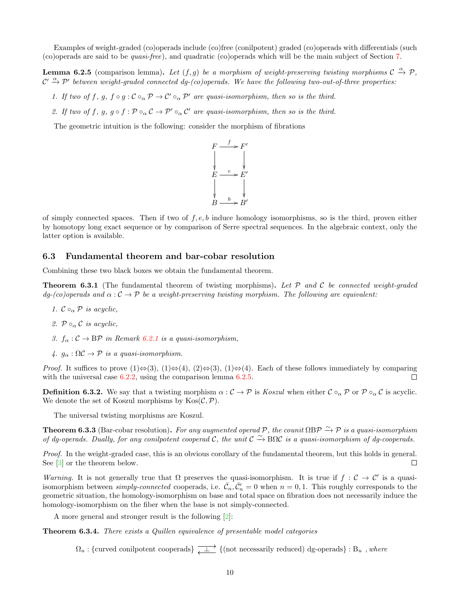Examples of weight-graded (co)operads include (co)free (conilpotent) graded (co)operads with differentials (such (co)operads are said to be quasi-free), and quadratic (co)operads which will be the main subject of Section [7.](#page-10-0)

<span id="page-9-1"></span>**Lemma 6.2.5** (comparison lemma). Let  $(f, g)$  be a morphism of weight-preserving twisting morphisms  $C \stackrel{\alpha}{\rightarrow} \mathcal{P}$ ,  $\mathcal{C}' \xrightarrow{\alpha} \mathcal{P}'$  between weight-graded connected dg-(co)operads. We have the following two-out-of-three properties:

- 1. If two of f, g,  $f \circ g : C \circ_{\alpha} \mathcal{P} \to C' \circ_{\alpha} \mathcal{P}'$  are quasi-isomorphism, then so is the third.
- 2. If two of f, g,  $g \circ f : \mathcal{P} \circ_{\alpha} \mathcal{C} \to \mathcal{P}' \circ_{\alpha} \mathcal{C}'$  are quasi-isomorphism, then so is the third.

The geometric intuition is the following: consider the morphism of fibrations



of simply connected spaces. Then if two of  $f, e, b$  induce homology isomorphisms, so is the third, proven either by homotopy long exact sequence or by comparison of Serre spectral sequences. In the algebraic context, only the latter option is available.

### 6.3 Fundamental theorem and bar-cobar resolution

Combining these two black boxes we obtain the fundamental theorem.

**Theorem 6.3.1** (The fundamental theorem of twisting morphisms). Let  $P$  and  $C$  be connected weight-graded  $dq$ -(co)operads and  $\alpha$  :  $\mathcal{C} \to \mathcal{P}$  be a weight-preserving twisting morphism. The following are equivalent:

- 1.  $\mathcal{C} \circ_{\alpha} \mathcal{P}$  is acyclic,
- 2.  $\mathcal{P} \circ_{\alpha} \mathcal{C}$  is acyclic.
- 3.  $f_{\alpha}: \mathcal{C} \to \mathbb{B} \mathcal{P}$  in Remark [6.2.1](#page-8-0) is a quasi-isomorphism,
- 4.  $g_{\alpha} : \Omega \mathcal{C} \to \mathcal{P}$  is a quasi-isomorphism.

*Proof.* It suffices to prove  $(1) \Leftrightarrow (3), (1) \Leftrightarrow (4), (2) \Leftrightarrow (3), (1) \Leftrightarrow (4)$ . Each of these follows immediately by comparing with the universal case [6.2.2,](#page-8-1) using the comparison lemma [6.2.5.](#page-9-1) П

**Definition 6.3.2.** We say that a twisting morphism  $\alpha : C \to \mathcal{P}$  is Koszul when either  $C \circ_{\alpha} \mathcal{P}$  or  $\mathcal{P} \circ_{\alpha} C$  is acyclic. We denote the set of Koszul morphisms by  $\text{Kos}(\mathcal{C}, \mathcal{P})$ .

The universal twisting morphisms are Koszul.

**Theorem 6.3.3** (Bar-cobar resolution). For any augmented operad P, the counit  $\Omega$ BP  $\overset{\sim}{\to}$  P is a quasi-isomorphism of dg-operads. Dually, for any conilpotent cooperad C, the unit  $C \rightarrow B\Omega C$  is a quasi-isomorphism of dg-cooperads.

Proof. In the weight-graded case, this is an obvious corollary of the fundamental theorem, but this holds in general. See [\[3\]](#page-11-2) or the theorem below.  $\Box$ 

Warning. It is not generally true that  $\Omega$  preserves the quasi-isomorphism. It is true if  $f : C \to C'$  is a quasiisomorphism between *simply-connected* cooperads, i.e.  $\bar{\mathcal{C}}_n, \bar{\mathcal{C}}'_n = 0$  when  $n = 0, 1$ . This roughly corresponds to the geometric situation, the homology-isomorphism on base and total space on fibration does not necessarily induce the homology-isomorphism on the fiber when the base is not simply-connected.

A more general and stronger result is the following [\[2\]](#page-11-4):

<span id="page-9-0"></span>Theorem 6.3.4. There exists a Quillen equivalence of presentable model categories

 $\Omega_u$ : {curved conilpotent cooperads}  $\overline{\downarrow \perp}$  {(not necessarily reduced) dg-operads} : B<sub>u</sub>, where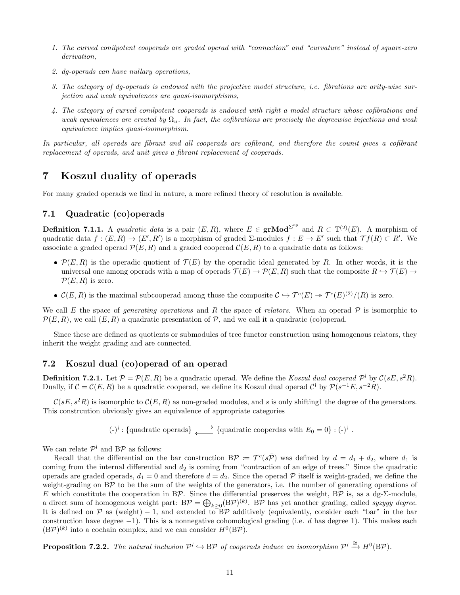- 1. The curved conilpotent cooperads are graded operad with "connection" and "curvature" instead of square-zero derivation,
- 2. dg-operads can have nullary operations,
- 3. The category of dg-operads is endowed with the projective model structure, i.e. fibrations are arity-wise surjection and weak equivalences are quasi-isomorphisms,
- 4. The category of curved conilpotent cooperads is endowed with right a model structure whose cofibrations and weak equivalences are created by  $\Omega_u$ . In fact, the cofibrations are precisely the degreewise injections and weak equivalence implies quasi-isomorphism.

In particular, all operads are fibrant and all cooperads are cofibrant, and therefore the counit gives a cofibrant replacement of operads, and unit gives a fibrant replacement of cooperads.

# <span id="page-10-0"></span>7 Koszul duality of operads

For many graded operads we find in nature, a more refined theory of resolution is available.

### 7.1 Quadratic (co)operads

**Definition 7.1.1.** A quadratic data is a pair  $(E, R)$ , where  $E \in \text{grMod}^{\Sigma^{op}}$  and  $R \subset \mathbb{T}^{(2)}(E)$ . A morphism of quadratic data  $f:(E,R) \to (E',R')$  is a morphism of graded  $\Sigma$ -modules  $f:E \to E'$  such that  $\mathcal{T}f(R) \subset R'$ . We associate a graded operad  $\mathcal{P}(E, R)$  and a graded cooperad  $\mathcal{C}(E, R)$  to a quadratic data as follows:

- $\mathcal{P}(E, R)$  is the operadic quotient of  $\mathcal{T}(E)$  by the operadic ideal generated by R. In other words, it is the universal one among operads with a map of operads  $\mathcal{T}(E) \to \mathcal{P}(E, R)$  such that the composite  $R \to \mathcal{T}(E) \to$  $\mathcal{P}(E,R)$  is zero.
- $\mathcal{C}(E,R)$  is the maximal subcooperad among those the composite  $\mathcal{C} \hookrightarrow \mathcal{T}^{c}(E) \rightarrow \mathcal{T}^{c}(E)^{(2)}/(R)$  is zero.

We call E the space of *generating operations* and R the space of *relators*. When an operad P is isomorphic to  $\mathcal{P}(E, R)$ , we call  $(E, R)$  a quadratic presentation of P, and we call it a quadratic (co)operad.

Since these are defined as quotients or submodules of tree functor construction using homogenous relators, they inherit the weight grading and are connected.

### 7.2 Koszul dual (co)operad of an operad

**Definition 7.2.1.** Let  $P = P(E, R)$  be a quadratic operad. We define the Koszul dual cooperad  $P^{\dagger}$  by  $C(sE, s^2R)$ . Dually, if  $C = C(E, R)$  be a quadratic cooperad, we define its Koszul dual operad  $C^i$  by  $\mathcal{P}(s^{-1}E, s^{-2}R)$ .

 $\mathcal{C}(sE, s^2R)$  is isomorphic to  $\mathcal{C}(E, R)$  as non-graded modules, and s is only shifting1 the degree of the generators. This constrcution obviously gives an equivalence of appropriate categories

(-)<sup>i</sup>: {quadratic operads}  $\longrightarrow$  {quadratic cooperdas with  $E_0 = 0$ }: (-)<sup>i</sup>.

We can relate  $\mathcal{P}^{\mathsf{i}}$  and B $\mathcal{P}$  as follows:

Recall that the differential on the bar construction  $B\mathcal{P} := \mathcal{T}^c(s\bar{\mathcal{P}})$  was defined by  $d = d_1 + d_2$ , where  $d_1$  is coming from the internal differential and  $d_2$  is coming from "contraction of an edge of trees." Since the quadratic operads are graded operads,  $d_1 = 0$  and therefore  $d = d_2$ . Since the operad P itself is weight-graded, we define the weight-grading on BP to be the sum of the weights of the generators, i.e. the number of generating operations of E which constitute the cooperation in BP. Since the differential preserves the weight, BP is, as a dg- $\Sigma$ -module, a direct sum of homogenous weight part:  $B\mathcal{P} = \bigoplus_{k \geq 0} (B\mathcal{P})^{(k)}$ .  $B\mathcal{P}$  has yet another grading, called syzygy degree. It is defined on P as (weight) – 1, and extended to BP additively (equivalently, consider each "bar" in the bar construction have degree  $-1$ ). This is a nonnegative cohomological grading (i.e. d has degree 1). This makes each  $(B\mathcal{P})^{(k)}$  into a cochain complex, and we can consider  $H^0(B\mathcal{P})$ .

**Proposition 7.2.2.** The natural inclusion  $\mathcal{P}^i \to \text{B}\mathcal{P}$  of cooperads induce an isomorphism  $\mathcal{P}^i \stackrel{\cong}{\to} H^0(\text{B}\mathcal{P})$ .